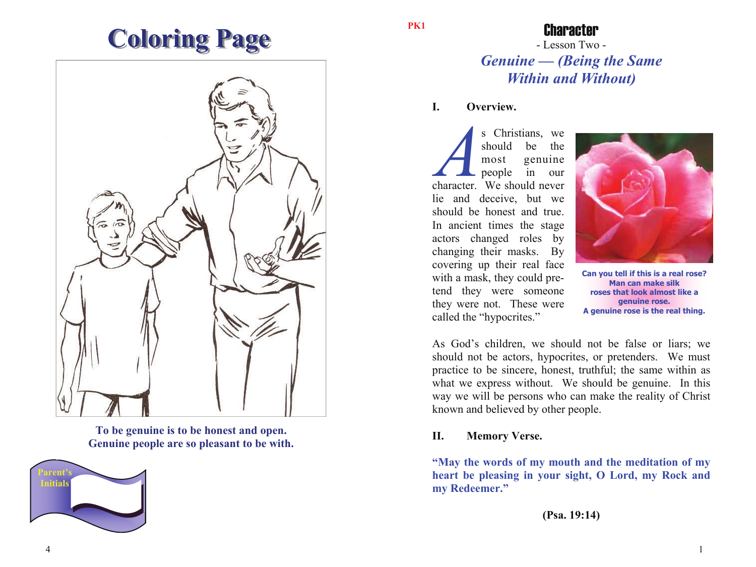# **Coloring Page**



**To be genuine is to be honest and open. Genuine people are so pleasant to be with.** 



#### **PK1**

### Character

- Lesson Two - *Genuine — (Being the Same Within and Without)* 

#### **I. Overview.**

*A*s Christians, we should be the most genuine people in our character. We should never lie and deceive, but we should be honest and true. In ancient times the stage actors changed roles by changing their masks. By covering up their real face with a mask, they could pretend they were someone they were not. These were called the "hypocrites."



**Can you tell if this is a real rose? Man can make silk roses that look almost like a genuine rose. A genuine rose is the real thing.** 

As God's children, we should not be false or liars; we should not be actors, hypocrites, or pretenders. We must practice to be sincere, honest, truthful; the same within as what we express without. We should be genuine. In this way we will be persons who can make the reality of Christ known and believed by other people.

#### **II. Memory Verse.**

**"May the words of my mouth and the meditation of my heart be pleasing in your sight, O Lord, my Rock and my Redeemer."**